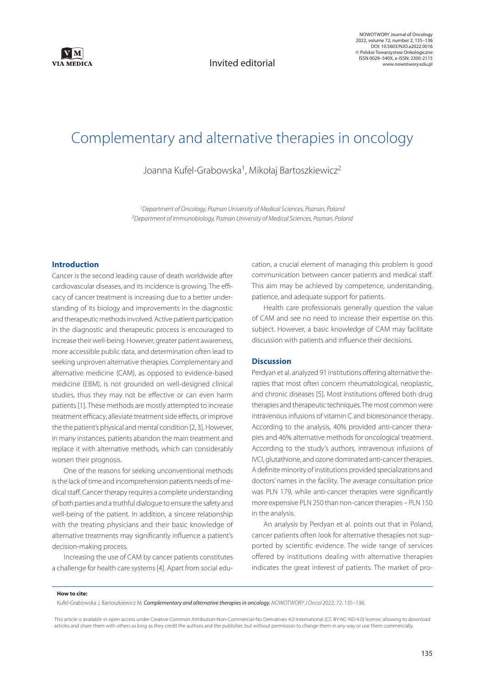

Invited editorial

NOWOTWORY Journal of Oncology 2022, volume 72, number 2, 135–136 DOI: 10.5603/NJO.a2022.0016 © Polskie Towarzystwo Onkologiczne ISSN 0029–540X, e-ISSN: 2300-2115 www.nowotwory.edu.pl

# Complementary and alternative therapies in oncology

Joanna Kufel-Grabowska<sup>1</sup>, Mikołaj Bartoszkiewicz<sup>2</sup>

*1 Department of Oncology, Poznan University of Medical Sciences, Poznan, Poland 2 Department of Immunobiology, Poznan University of Medical Sciences, Poznan, Poland*

## **Introduction**

Cancer is the second leading cause of death worldwide after cardiovascular diseases, and its incidence is growing. The efficacy of cancer treatment is increasing due to a better understanding of its biology and improvements in the diagnostic and therapeutic methods involved. Active patient participation in the diagnostic and therapeutic process is encouraged to increase their well-being. However, greater patient awareness, more accessible public data, and determination often lead to seeking unproven alternative therapies. Complementary and alternative medicine (CAM), as opposed to evidence-based medicine (EBM), is not grounded on well-designed clinical studies, thus they may not be effective or can even harm patients [1]. These methods are mostly attempted to increase treatment efficacy, alleviate treatment side effects, or improve the the patient's physical and mental condition [2, 3]. However, in many instances, patients abandon the main treatment and replace it with alternative methods, which can considerably worsen their prognosis.

One of the reasons for seeking unconventional methods is the lack of time and incomprehension patients needs of medical staff. Cancer therapy requires a complete understanding of both parties and a truthful dialogue to ensure the safety and well-being of the patient. In addition, a sincere relationship with the treating physicians and their basic knowledge of alternative treatments may significantly influence a patient's decision-making process.

Increasing the use of CAM by cancer patients constitutes a challenge for health care systems [4]. Apart from social education, a crucial element of managing this problem is good communication between cancer patients and medical staff. This aim may be achieved by competence, understanding, patience, and adequate support for patients.

Health care professionals generally question the value of CAM and see no need to increase their expertise on this subject. However, a basic knowledge of CAM may facilitate discussion with patients and influence their decisions.

## **Discussion**

Perdyan et al. analyzed 91 institutions offering alternative therapies that most often concern rheumatological, neoplastic, and chronic diseases [5]. Most institutions offered both drug therapies and therapeutic techniques. The most common were intravenous infusions of vitamin C and bioresonance therapy. According to the analysis, 40% provided anti-cancer therapies and 46% alternative methods for oncological treatment. According to the study's authors, intravenous infusions of IVCI, glutathione, and ozone dominated anti-cancer therapies. A definite minority of institutions provided specializations and doctors' names in the facility. The average consultation price was PLN 179, while anti-cancer therapies were significantly more expensive PLN 250 than non-cancer therapies – PLN 150 in the analysis.

An analysis by Perdyan et al. points out that in Poland, cancer patients often look for alternative therapies not supported by scientific evidence. The wide range of services offered by institutions dealing with alternative therapies indicates the great interest of patients. The market of pro-

#### **How to cite:**

Kufel-Grabowska J, Bartoszkiewicz M. *Complementary and alternative therapies in oncology. NOWOTWORY J Oncol* 2022; 72: 135–136.

This article is available in open access under Creative Common Attribution-Non-Commercial-No Derivatives 4.0 International (CC BY-NC-ND 4.0) license, allowing to download articles and share them with others as long as they credit the authors and the publisher, but without permission to change them in any way or use them commercially.